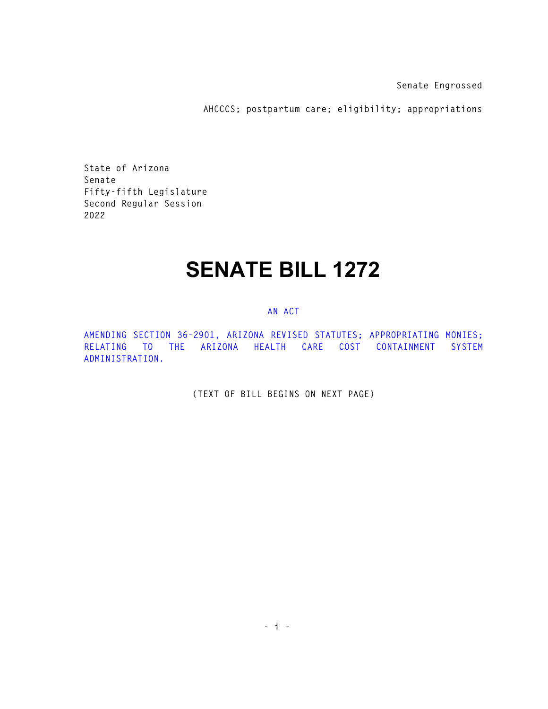**Senate Engrossed** 

**AHCCCS; postpartum care; eligibility; appropriations** 

**State of Arizona Senate Fifty-fifth Legislature Second Regular Session 2022** 

## **SENATE BILL 1272**

## **AN ACT**

**AMENDING SECTION 36-2901, ARIZONA REVISED STATUTES; APPROPRIATING MONIES; RELATING TO THE ARIZONA HEALTH CARE COST CONTAINMENT SYSTEM ADMINISTRATION.** 

**(TEXT OF BILL BEGINS ON NEXT PAGE)**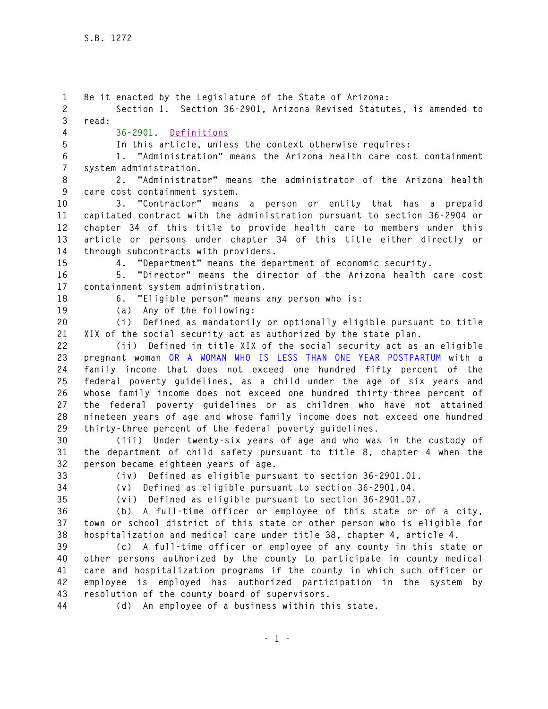**1 Be it enacted by the Legislature of the State of Arizona: 2 Section 1. Section 36-2901, Arizona Revised Statutes, is amended to 3 read: 4 36-2901. Definitions 5 In this article, unless the context otherwise requires: 6 1. "Administration" means the Arizona health care cost containment 7 system administration. 8 2. "Administrator" means the administrator of the Arizona health 9 care cost containment system. 10 3. "Contractor" means a person or entity that has a prepaid 11 capitated contract with the administration pursuant to section 36-2904 or 12 chapter 34 of this title to provide health care to members under this 13 article or persons under chapter 34 of this title either directly or 14 through subcontracts with providers. 15 4. "Department" means the department of economic security. 16 5. "Director" means the director of the Arizona health care cost 17 containment system administration. 18 6. "Eligible person" means any person who is: 19 (a) Any of the following: 20 (i) Defined as mandatorily or optionally eligible pursuant to title 21 XIX of the social security act as authorized by the state plan. 22 (ii) Defined in title XIX of the social security act as an eligible 23 pregnant woman OR A WOMAN WHO IS LESS THAN ONE YEAR POSTPARTUM with a 24 family income that does not exceed one hundred fifty percent of the 25 federal poverty guidelines, as a child under the age of six years and 26 whose family income does not exceed one hundred thirty-three percent of 27 the federal poverty guidelines or as children who have not attained 28 nineteen years of age and whose family income does not exceed one hundred 29 thirty-three percent of the federal poverty guidelines. 30 (iii) Under twenty-six years of age and who was in the custody of 31 the department of child safety pursuant to title 8, chapter 4 when the 32 person became eighteen years of age. 33 (iv) Defined as eligible pursuant to section 36-2901.01. 34 (v) Defined as eligible pursuant to section 36-2901.04. 35 (vi) Defined as eligible pursuant to section 36-2901.07. 36 (b) A full-time officer or employee of this state or of a city, 37 town or school district of this state or other person who is eligible for 38 hospitalization and medical care under title 38, chapter 4, article 4. 39 (c) A full-time officer or employee of any county in this state or 40 other persons authorized by the county to participate in county medical 41 care and hospitalization programs if the county in which such officer or 42 employee is employed has authorized participation in the system by 43 resolution of the county board of supervisors. 44 (d) An employee of a business within this state.**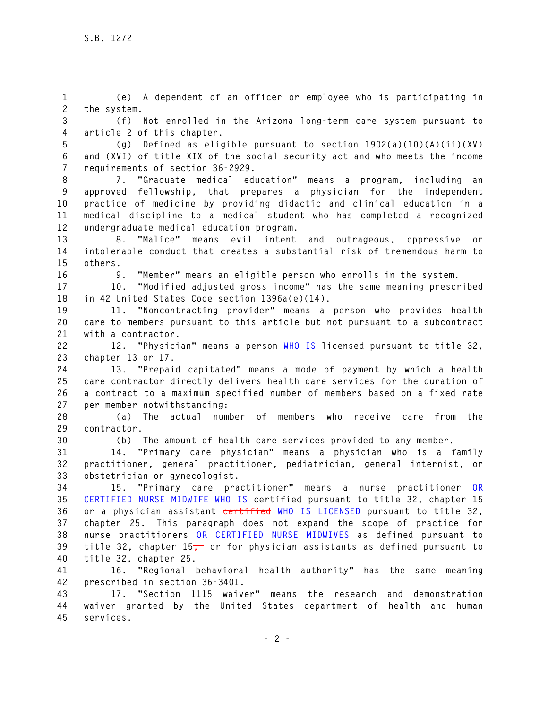**1 (e) A dependent of an officer or employee who is participating in 2 the system. 3 (f) Not enrolled in the Arizona long-term care system pursuant to** 

**4 article 2 of this chapter. 5 (g) Defined as eligible pursuant to section 1902(a)(10)(A)(ii)(XV)** 

**6 and (XVI) of title XIX of the social security act and who meets the income 7 requirements of section 36-2929.** 

**8 7. "Graduate medical education" means a program, including an 9 approved fellowship, that prepares a physician for the independent 10 practice of medicine by providing didactic and clinical education in a 11 medical discipline to a medical student who has completed a recognized 12 undergraduate medical education program.** 

**13 8. "Malice" means evil intent and outrageous, oppressive or 14 intolerable conduct that creates a substantial risk of tremendous harm to 15 others.** 

**16 9. "Member" means an eligible person who enrolls in the system.** 

**17 10. "Modified adjusted gross income" has the same meaning prescribed 18 in 42 United States Code section 1396a(e)(14).** 

**19 11. "Noncontracting provider" means a person who provides health 20 care to members pursuant to this article but not pursuant to a subcontract 21 with a contractor.** 

**22 12. "Physician" means a person WHO IS licensed pursuant to title 32, 23 chapter 13 or 17.** 

**24 13. "Prepaid capitated" means a mode of payment by which a health 25 care contractor directly delivers health care services for the duration of 26 a contract to a maximum specified number of members based on a fixed rate 27 per member notwithstanding:** 

**28 (a) The actual number of members who receive care from the 29 contractor.** 

**30 (b) The amount of health care services provided to any member.** 

**31 14. "Primary care physician" means a physician who is a family 32 practitioner, general practitioner, pediatrician, general internist, or 33 obstetrician or gynecologist.** 

**34 15. "Primary care practitioner" means a nurse practitioner OR 35 CERTIFIED NURSE MIDWIFE WHO IS certified pursuant to title 32, chapter 15 36 or a physician assistant certified WHO IS LICENSED pursuant to title 32, 37 chapter 25. This paragraph does not expand the scope of practice for 38 nurse practitioners OR CERTIFIED NURSE MIDWIVES as defined pursuant to 39 title 32, chapter 15, or for physician assistants as defined pursuant to 40 title 32, chapter 25.** 

**41 16. "Regional behavioral health authority" has the same meaning 42 prescribed in section 36-3401.** 

**43 17. "Section 1115 waiver" means the research and demonstration 44 waiver granted by the United States department of health and human 45 services.**